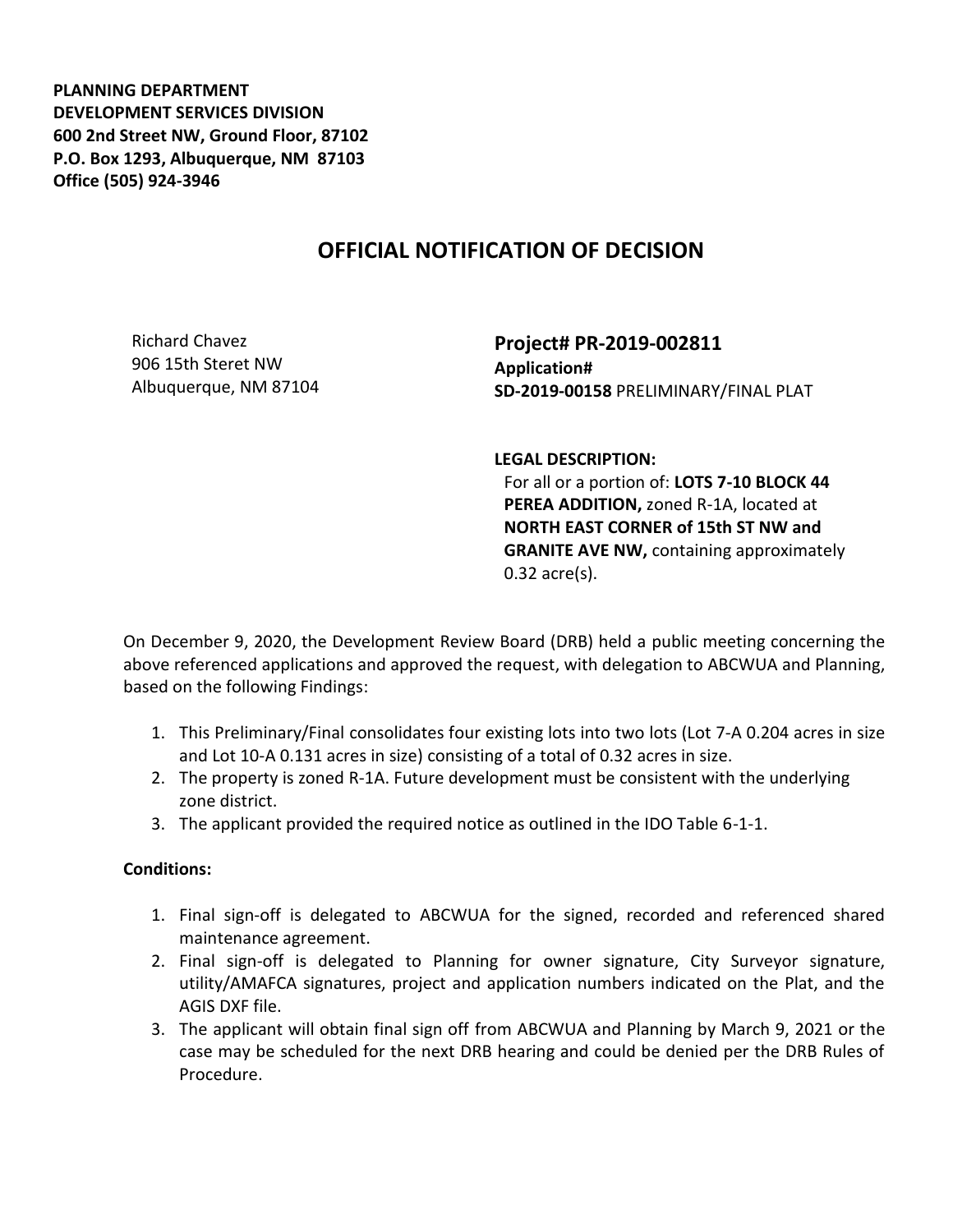**PLANNING DEPARTMENT DEVELOPMENT SERVICES DIVISION 600 2nd Street NW, Ground Floor, 87102 P.O. Box 1293, Albuquerque, NM 87103 Office (505) 924-3946** 

## **OFFICIAL NOTIFICATION OF DECISION**

Richard Chavez 906 15th Steret NW Albuquerque, NM 87104

**Project# PR-2019-002811 Application# SD-2019-00158** PRELIMINARY/FINAL PLAT

**LEGAL DESCRIPTION:**

For all or a portion of: **LOTS 7-10 BLOCK 44 PEREA ADDITION,** zoned R-1A, located at **NORTH EAST CORNER of 15th ST NW and GRANITE AVE NW,** containing approximately 0.32 acre(s).

On December 9, 2020, the Development Review Board (DRB) held a public meeting concerning the above referenced applications and approved the request, with delegation to ABCWUA and Planning, based on the following Findings:

- 1. This Preliminary/Final consolidates four existing lots into two lots (Lot 7-A 0.204 acres in size and Lot 10-A 0.131 acres in size) consisting of a total of 0.32 acres in size.
- 2. The property is zoned R-1A. Future development must be consistent with the underlying zone district.
- 3. The applicant provided the required notice as outlined in the IDO Table 6-1-1.

## **Conditions:**

- 1. Final sign-off is delegated to ABCWUA for the signed, recorded and referenced shared maintenance agreement.
- 2. Final sign-off is delegated to Planning for owner signature, City Surveyor signature, utility/AMAFCA signatures, project and application numbers indicated on the Plat, and the AGIS DXF file.
- 3. The applicant will obtain final sign off from ABCWUA and Planning by March 9, 2021 or the case may be scheduled for the next DRB hearing and could be denied per the DRB Rules of Procedure.